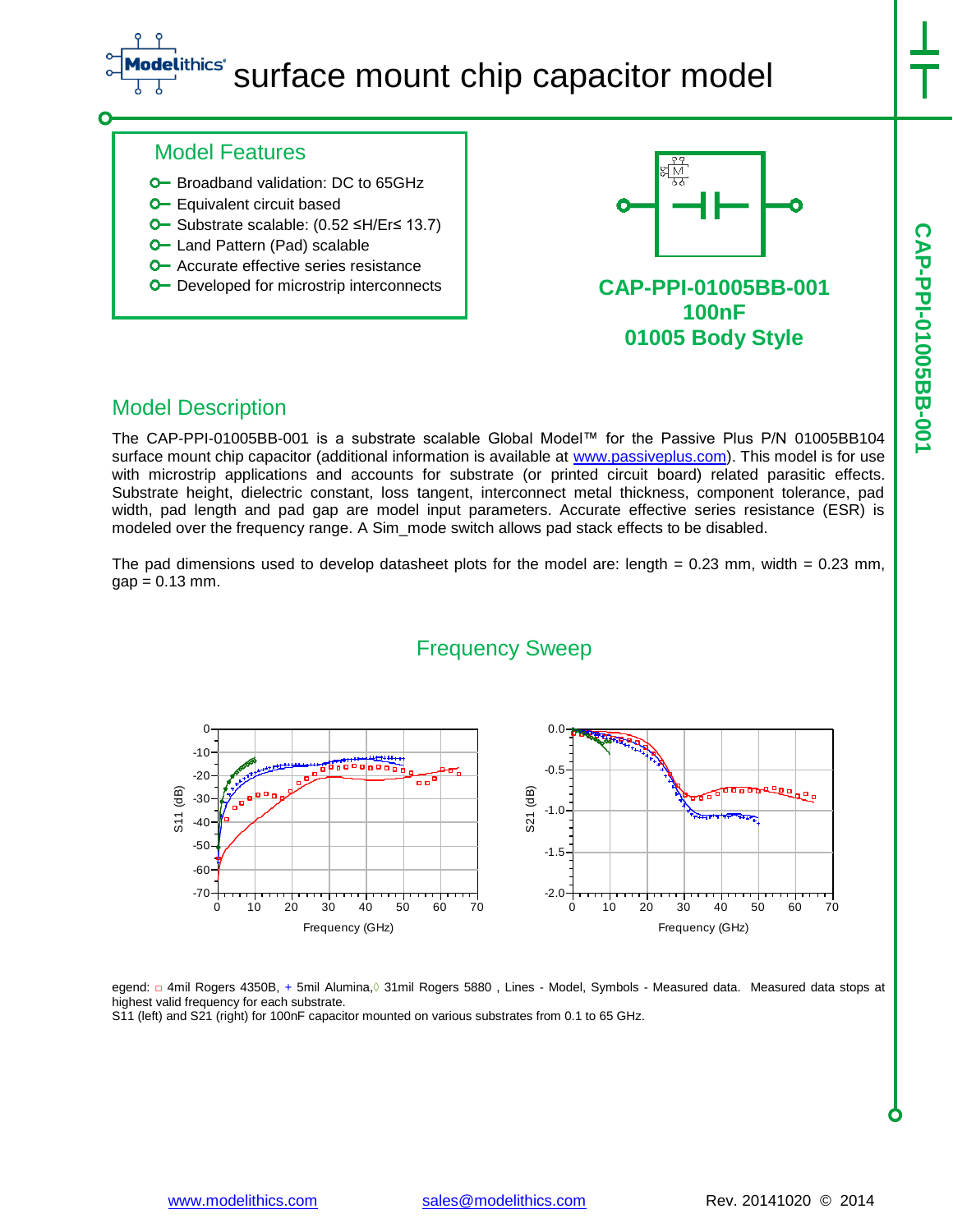## ithics<sup>®</sup> surface mount chip capacitor model

**CAP-PPI-01005BB-001**

CAP-PPI-01005BB-00

## Model Features

- **O** Broadband validation: DC to 65GHz
- **O** Equivalent circuit based
- Substrate scalable: (0.52 ≤H/Er≤ 13.7)
- **O** Land Pattern (Pad) scalable
- **O** Accurate effective series resistance
- **O** Developed for microstrip interconnects



**100nF 01005 Body Style**

## Model Description

The CAP-PPI-01005BB-001 is a substrate scalable Global Model™ for the Passive Plus P/N 01005BB104 surface mount chip capacitor (additional information is available at [www.passiveplus.com\)](http://www.passiveplus.com/). This model is for use with microstrip applications and accounts for substrate (or printed circuit board) related parasitic effects. Substrate height, dielectric constant, loss tangent, interconnect metal thickness, component tolerance, pad width, pad length and pad gap are model input parameters. Accurate effective series resistance (ESR) is modeled over the frequency range. A Sim\_mode switch allows pad stack effects to be disabled.

The pad dimensions used to develop datasheet plots for the model are: length =  $0.23$  mm, width =  $0.23$  mm,  $gap = 0.13$  mm.



egend: □ 4mil Rogers 4350B, + 5mil Alumina, 31mil Rogers 5880, Lines - Model, Symbols - Measured data. Measured data stops at highest valid frequency for each substrate.

S11 (left) and S21 (right) for 100nF capacitor mounted on various substrates from 0.1 to 65 GHz.

# Frequency Sweep